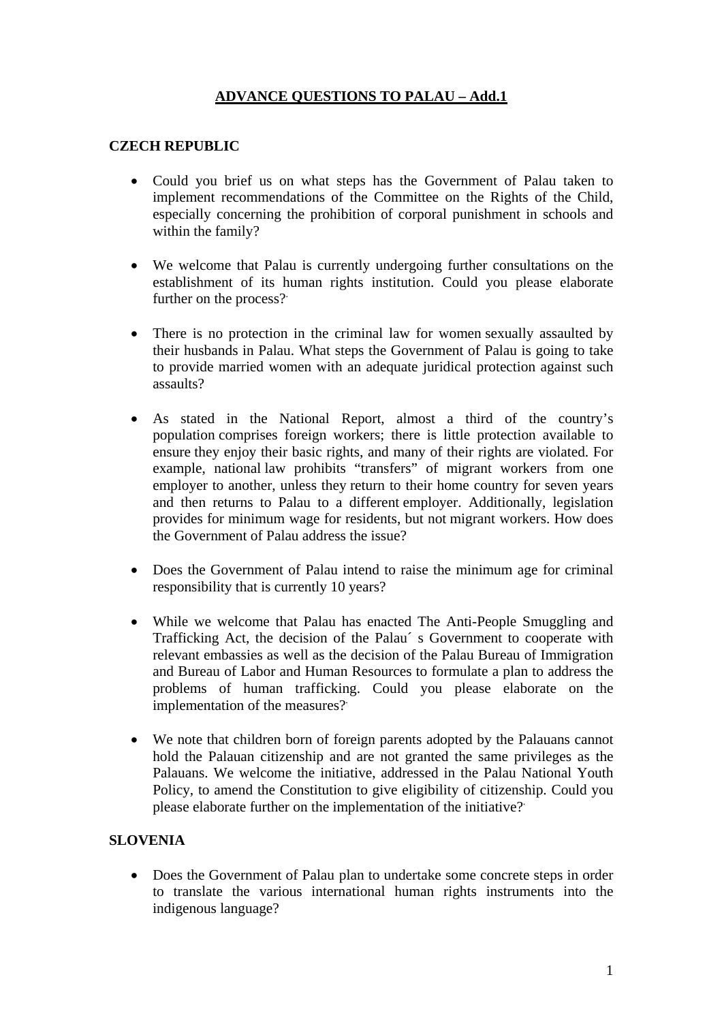## **ADVANCE QUESTIONS TO PALAU – Add.1**

## **CZECH REPUBLIC**

- Could you brief us on what steps has the Government of Palau taken to implement recommendations of the Committee on the Rights of the Child, especially concerning the prohibition of corporal punishment in schools and within the family?
- We welcome that Palau is currently undergoing further consultations on the establishment of its human rights institution. Could you please elaborate further on the process?
- There is no protection in the criminal law for women sexually assaulted by their husbands in Palau. What steps the Government of Palau is going to take to provide married women with an adequate juridical protection against such assaults?
- As stated in the National Report, almost a third of the country's population comprises foreign workers; there is little protection available to ensure they enjoy their basic rights, and many of their rights are violated. For example, national law prohibits "transfers" of migrant workers from one employer to another, unless they return to their home country for seven years and then returns to Palau to a different employer. Additionally, legislation provides for minimum wage for residents, but not migrant workers. How does the Government of Palau address the issue?
- Does the Government of Palau intend to raise the minimum age for criminal responsibility that is currently 10 years?
- While we welcome that Palau has enacted The Anti-People Smuggling and Trafficking Act, the decision of the Palau´ s Government to cooperate with relevant embassies as well as the decision of the Palau Bureau of Immigration and Bureau of Labor and Human Resources to formulate a plan to address the problems of human trafficking. Could you please elaborate on the implementation of the measures?.
- We note that children born of foreign parents adopted by the Palauans cannot hold the Palauan citizenship and are not granted the same privileges as the Palauans. We welcome the initiative, addressed in the Palau National Youth Policy, to amend the Constitution to give eligibility of citizenship. Could you please elaborate further on the implementation of the initiative?.

## **SLOVENIA**

• Does the Government of Palau plan to undertake some concrete steps in order to translate the various international human rights instruments into the indigenous language?